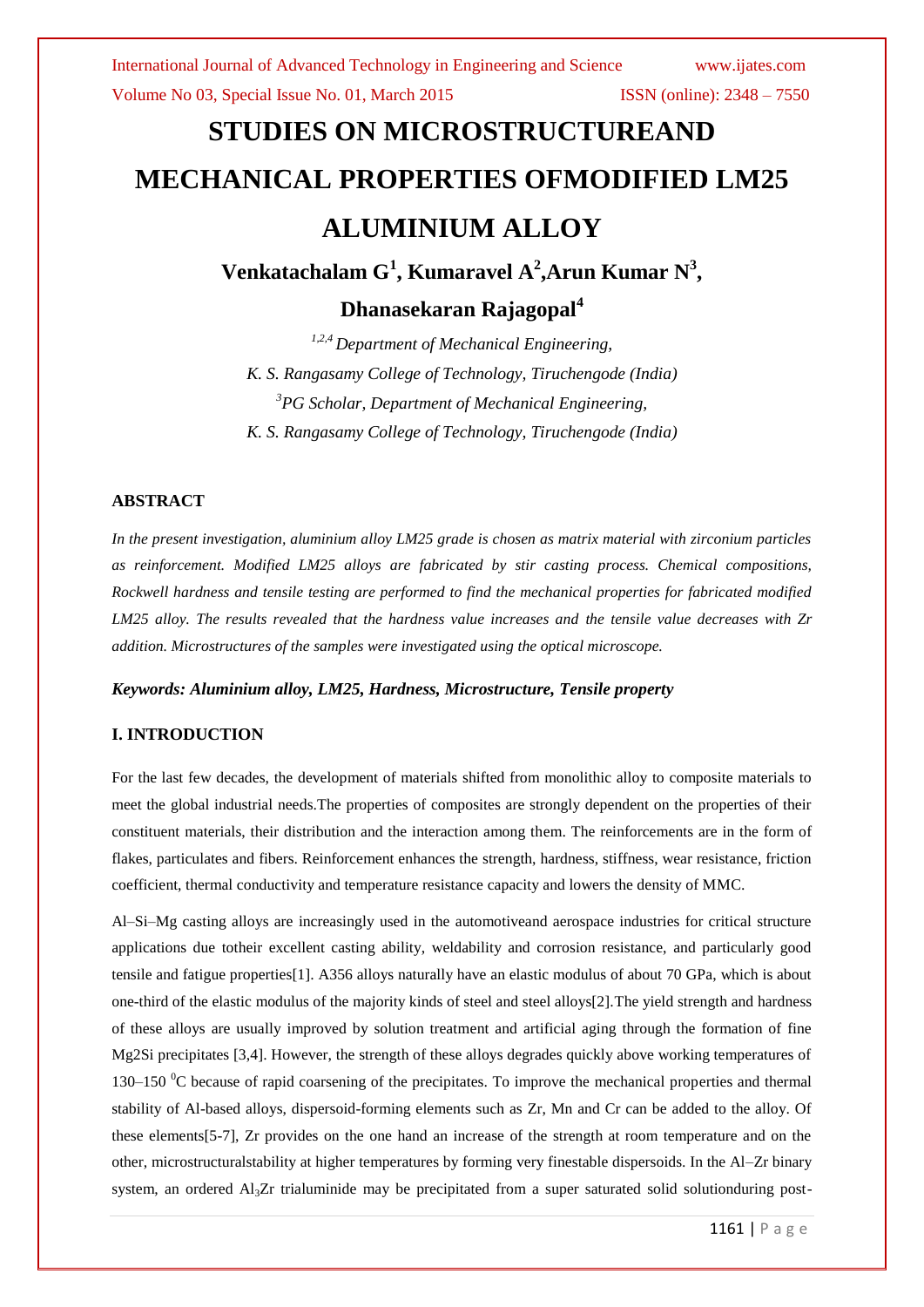Volume No 03, Special Issue No. 01, March 2015 ISSN (online): 2348 – 7550

# **STUDIES ON MICROSTRUCTUREAND MECHANICAL PROPERTIES OFMODIFIED LM25 ALUMINIUM ALLOY**

**Venkatachalam G<sup>1</sup> , Kumaravel A<sup>2</sup> ,Arun Kumar N<sup>3</sup> ,** 

### **Dhanasekaran Rajagopal<sup>4</sup>**

*1,2,4 Department of Mechanical Engineering, K. S. Rangasamy College of Technology, Tiruchengode (India) <sup>3</sup>PG Scholar, Department of Mechanical Engineering, K. S. Rangasamy College of Technology, Tiruchengode (India)*

#### **ABSTRACT**

*In the present investigation, aluminium alloy LM25 grade is chosen as matrix material with zirconium particles as reinforcement. Modified LM25 alloys are fabricated by stir casting process. Chemical compositions, Rockwell hardness and tensile testing are performed to find the mechanical properties for fabricated modified LM25 alloy. The results revealed that the hardness value increases and the tensile value decreases with Zr addition. Microstructures of the samples were investigated using the optical microscope.* 

#### *Keywords: Aluminium alloy, LM25, Hardness, Microstructure, Tensile property*

#### **I. INTRODUCTION**

For the last few decades, the development of materials shifted from monolithic alloy to composite materials to meet the global industrial needs.The properties of composites are strongly dependent on the properties of their constituent materials, their distribution and the interaction among them. The reinforcements are in the form of flakes, particulates and fibers. Reinforcement enhances the strength, hardness, stiffness, wear resistance, friction coefficient, thermal conductivity and temperature resistance capacity and lowers the density of MMC.

Al–Si–Mg casting alloys are increasingly used in the automotiveand aerospace industries for critical structure applications due totheir excellent casting ability, weldability and corrosion resistance, and particularly good tensile and fatigue properties[1]. A356 alloys naturally have an elastic modulus of about 70 GPa, which is about one-third of the elastic modulus of the majority kinds of steel and steel alloys[2].The yield strength and hardness of these alloys are usually improved by solution treatment and artificial aging through the formation of fine Mg2Si precipitates [3,4]. However, the strength of these alloys degrades quickly above working temperatures of 130–150 <sup>0</sup>C because of rapid coarsening of the precipitates. To improve the mechanical properties and thermal stability of Al-based alloys, dispersoid-forming elements such as Zr, Mn and Cr can be added to the alloy. Of these elements[5-7], Zr provides on the one hand an increase of the strength at room temperature and on the other, microstructuralstability at higher temperatures by forming very finestable dispersoids. In the Al–Zr binary system, an ordered Al<sub>3</sub>Zr trialuminide may be precipitated from a super saturated solid solutionduring post-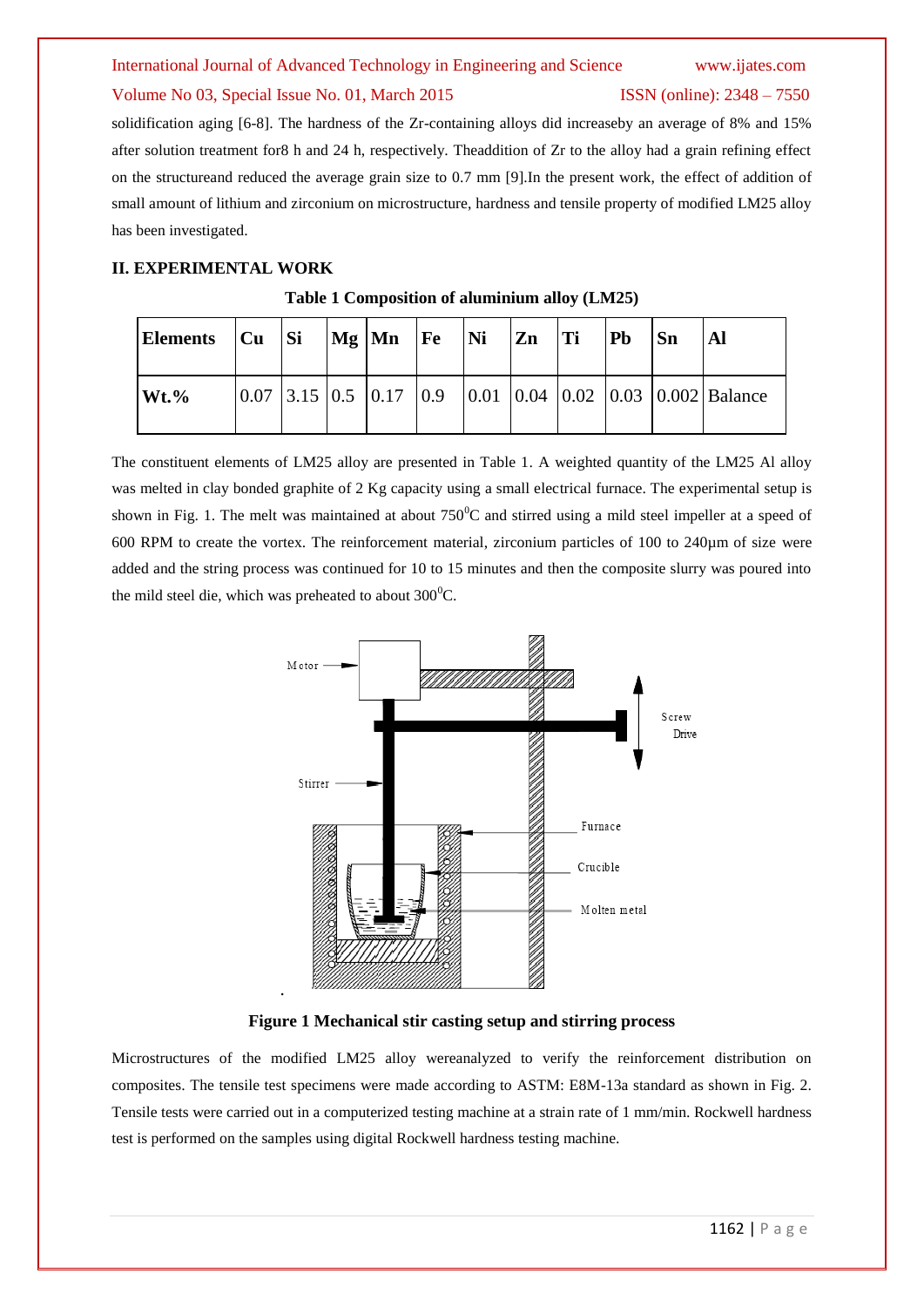#### International Journal of Advanced Technology in Engineering and Science www.ijates.com

#### Volume No 03, Special Issue No. 01, March 2015 ISSN (online): 2348 – 7550

solidification aging [6-8]. The hardness of the Zr-containing alloys did increaseby an average of 8% and 15% after solution treatment for8 h and 24 h, respectively. Theaddition of Zr to the alloy had a grain refining effect on the structureand reduced the average grain size to 0.7 mm [9].In the present work, the effect of addition of small amount of lithium and zirconium on microstructure, hardness and tensile property of modified LM25 alloy has been investigated.

#### **II. EXPERIMENTAL WORK**

| Elements   Cu   Si |  | $\log$ $\text{Mn}$ $\text{Fe}$ | $\overline{\mathbf{N}}$ i | <b>Zn</b> | Ti | <b>Pb</b> | Sn |                                                                                                                              |
|--------------------|--|--------------------------------|---------------------------|-----------|----|-----------|----|------------------------------------------------------------------------------------------------------------------------------|
| $Wt.$ %            |  |                                |                           |           |    |           |    | $\vert 0.07 \vert 3.15 \vert 0.5 \vert 0.17 \vert 0.9 \vert 0.01 \vert 0.04 \vert 0.02 \vert 0.03 \vert 0.002 \vert$ Balance |

#### **Table 1 Composition of aluminium alloy (LM25)**

The constituent elements of LM25 alloy are presented in Table 1. A weighted quantity of the LM25 Al alloy was melted in clay bonded graphite of 2 Kg capacity using a small electrical furnace. The experimental setup is shown in Fig. 1. The melt was maintained at about  $750^{\circ}$ C and stirred using a mild steel impeller at a speed of 600 RPM to create the vortex. The reinforcement material, zirconium particles of 100 to 240µm of size were added and the string process was continued for 10 to 15 minutes and then the composite slurry was poured into the mild steel die, which was preheated to about  $300^{\circ}$ C.



**Figure 1 Mechanical stir casting setup and stirring process**

Microstructures of the modified LM25 alloy wereanalyzed to verify the reinforcement distribution on composites. The tensile test specimens were made according to ASTM: E8M-13a standard as shown in Fig. 2. Tensile tests were carried out in a computerized testing machine at a strain rate of 1 mm/min. Rockwell hardness test is performed on the samples using digital Rockwell hardness testing machine.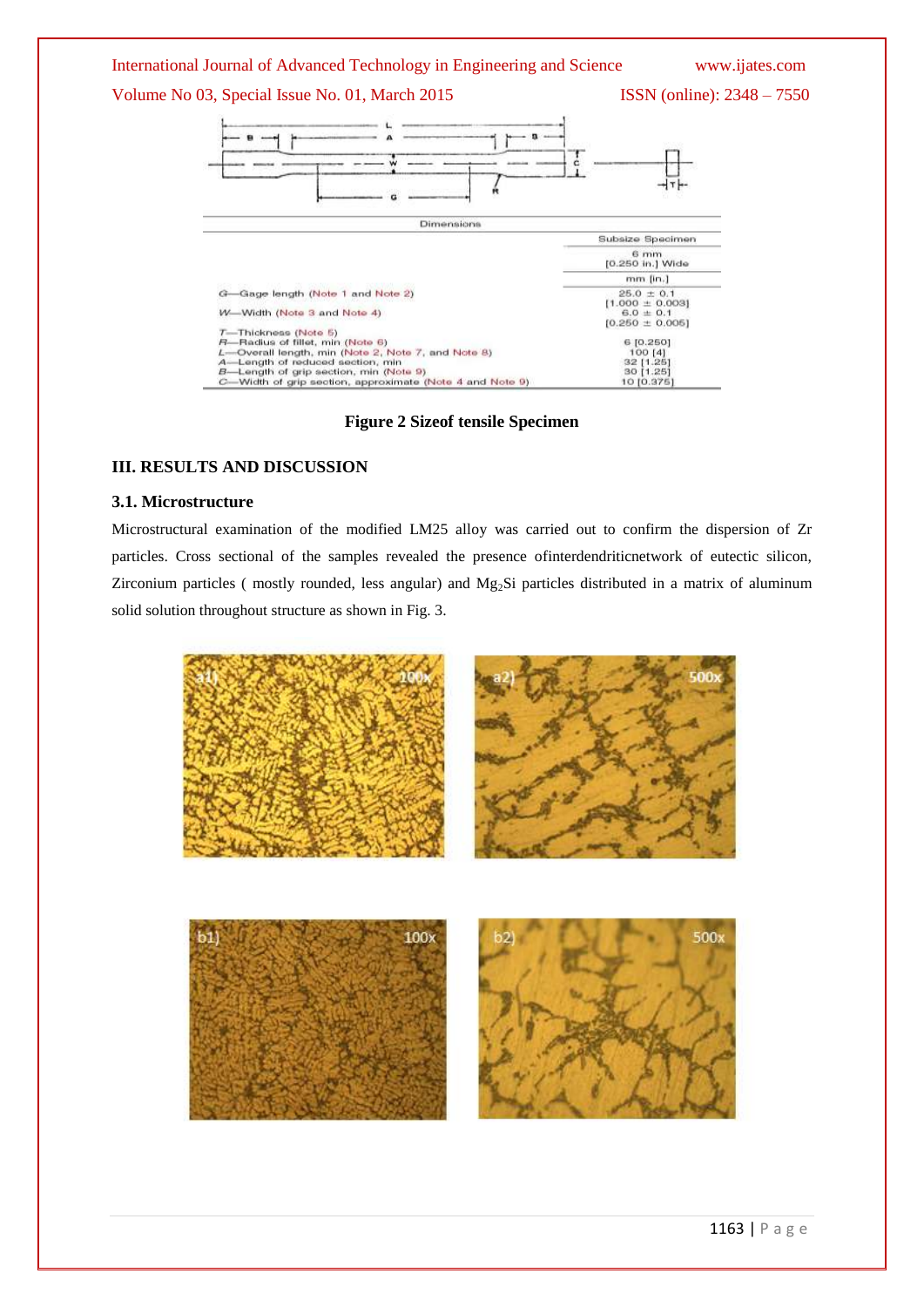#### International Journal of Advanced Technology in Engineering and Science www.ijates.com

### Volume No 03, Special Issue No. 01, March 2015 ISSN (online): 2348 – 7550





**Figure 2 Sizeof tensile Specimen** 

#### **III. RESULTS AND DISCUSSION**

#### **3.1. Microstructure**

Microstructural examination of the modified LM25 alloy was carried out to confirm the dispersion of Zr particles. Cross sectional of the samples revealed the presence ofinterdendriticnetwork of eutectic silicon, Zirconium particles (mostly rounded, less angular) and Mg<sub>2</sub>Si particles distributed in a matrix of aluminum solid solution throughout structure as shown in Fig. 3.

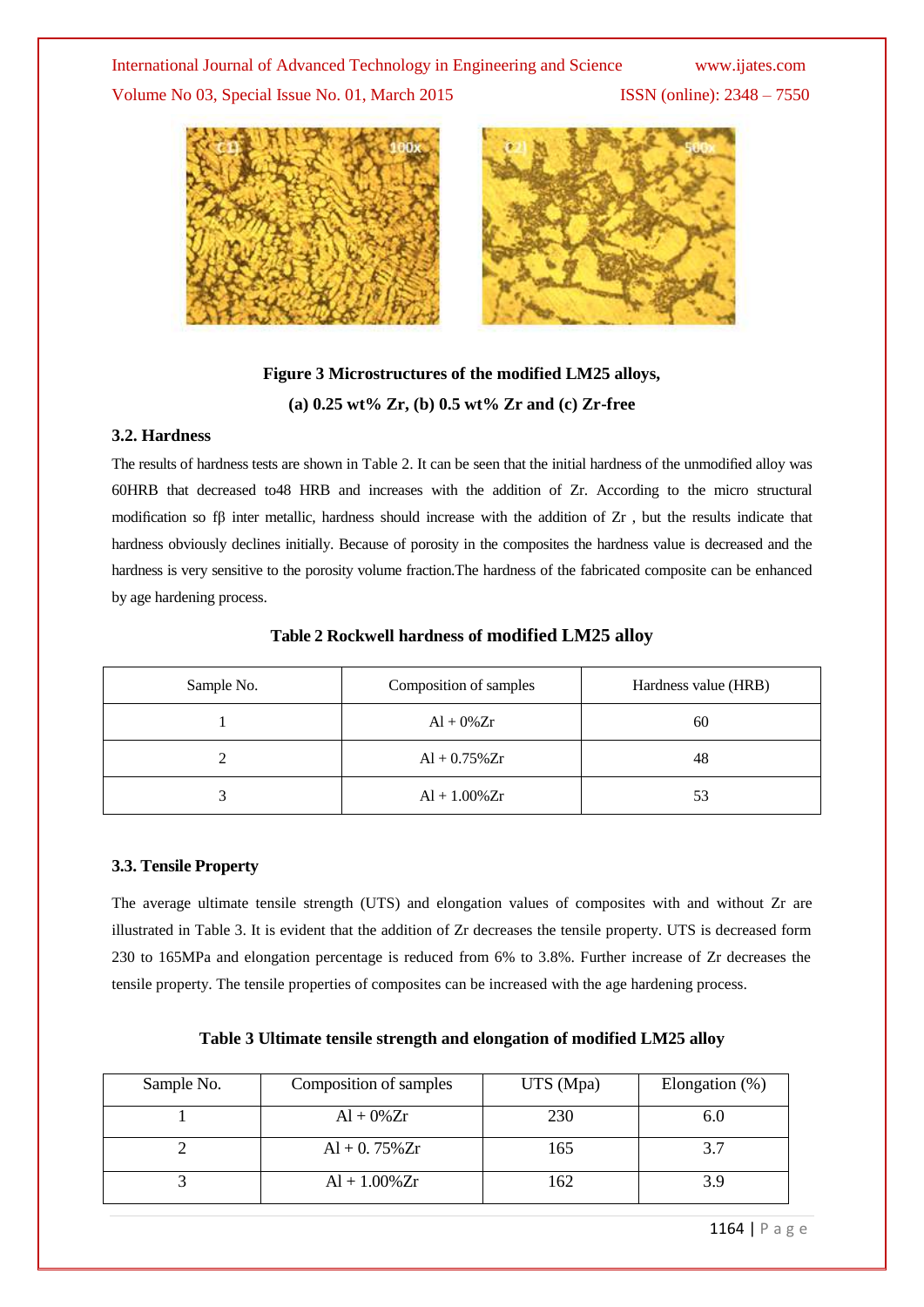#### International Journal of Advanced Technology in Engineering and Science www.ijates.com

Volume No 03, Special Issue No. 01, March 2015 ISSN (online): 2348 – 7550





### **Figure 3 Microstructures of the modified LM25 alloys, (a) 0.25 wt% Zr, (b) 0.5 wt% Zr and (c) Zr-free**

#### **3.2. Hardness**

The results of hardness tests are shown in Table 2. It can be seen that the initial hardness of the unmodified alloy was 60HRB that decreased to48 HRB and increases with the addition of Zr. According to the micro structural modification so f $\beta$  inter metallic, hardness should increase with the addition of Zr, but the results indicate that hardness obviously declines initially. Because of porosity in the composites the hardness value is decreased and the hardness is very sensitive to the porosity volume fraction.The hardness of the fabricated composite can be enhanced by age hardening process.

| Sample No. | Composition of samples | Hardness value (HRB) |  |  |
|------------|------------------------|----------------------|--|--|
|            | $Al + 0\% Zr$          | 60                   |  |  |
| ∠          | $Al + 0.75\% Zr$       | 48                   |  |  |
|            | $Al + 1.00\% Zr$       | 53                   |  |  |

#### **Table 2 Rockwell hardness of modified LM25 alloy**

#### **3.3. Tensile Property**

The average ultimate tensile strength (UTS) and elongation values of composites with and without Zr are illustrated in Table 3. It is evident that the addition of Zr decreases the tensile property. UTS is decreased form 230 to 165MPa and elongation percentage is reduced from 6% to 3.8%. Further increase of Zr decreases the tensile property. The tensile properties of composites can be increased with the age hardening process.

| Sample No. | Composition of samples | UTS (Mpa) | Elongation $(\%)$ |
|------------|------------------------|-----------|-------------------|
|            | $Al + 0\% Zr$          | 230       | 6.0               |
|            | $Al + 0.75\% Zr$       | 165       | 3.7               |
|            | $Al + 1.00\% Zr$       | 162       | 3.9               |

**Table 3 Ultimate tensile strength and elongation of modified LM25 alloy**